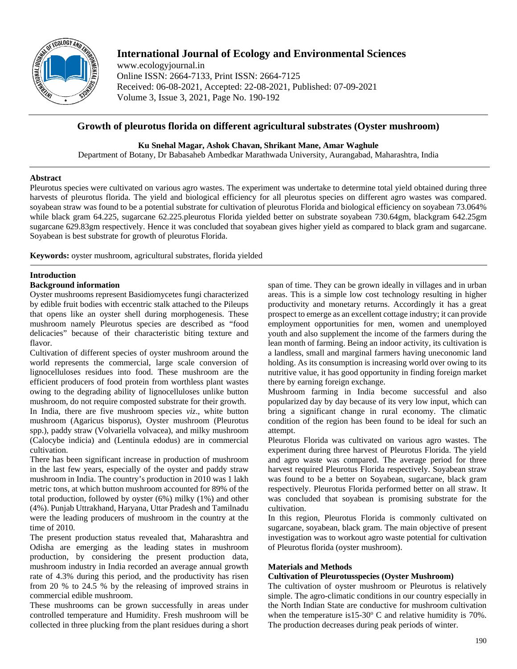

# **International Journal of Ecology and Environmental Sciences**

www.ecologyjournal.in Online ISSN: 2664-7133, Print ISSN: 2664-7125 Received: 06-08-2021, Accepted: 22-08-2021, Published: 07-09-2021 Volume 3, Issue 3, 2021, Page No. 190-192

## **Growth of pleurotus florida on different agricultural substrates (Oyster mushroom)**

**Ku Snehal Magar, Ashok Chavan, Shrikant Mane, Amar Waghule**

Department of Botany, Dr Babasaheb Ambedkar Marathwada University, Aurangabad, Maharashtra, India

## **Abstract**

Pleurotus species were cultivated on various agro wastes. The experiment was undertake to determine total yield obtained during three harvests of pleurotus florida. The yield and biological efficiency for all pleurotus species on different agro wastes was compared. soyabean straw was found to be a potential substrate for cultivation of pleurotus Florida and biological efficiency on soyabean 73.064% while black gram 64.225, sugarcane 62.225.pleurotus Florida yielded better on substrate soyabean 730.64gm, blackgram 642.25gm sugarcane 629.83gm respectively. Hence it was concluded that soyabean gives higher yield as compared to black gram and sugarcane. Soyabean is best substrate for growth of pleurotus Florida.

**Keywords:** oyster mushroom, agricultural substrates, florida yielded

## **Introduction**

## **Background information**

Oyster mushrooms represent Basidiomycetes fungi characterized by edible fruit bodies with eccentric stalk attached to the Pileups that opens like an oyster shell during morphogenesis. These mushroom namely Pleurotus species are described as "food delicacies" because of their characteristic biting texture and flavor.

Cultivation of different species of oyster mushroom around the world represents the commercial, large scale conversion of lignocelluloses residues into food. These mushroom are the efficient producers of food protein from worthless plant wastes owing to the degrading ability of lignocelluloses unlike button mushroom, do not require composted substrate for their growth. In India, there are five mushroom species *viz*., white button mushroom (Agaricus bisporus), Oyster mushroom (Pleurotus spp.), paddy straw (Volvariella volvacea), and milky mushroom (Calocybe indicia) and (Lentinula edodus) are in commercial cultivation.

There has been significant increase in production of mushroom in the last few years, especially of the oyster and paddy straw mushroom in India. The country's production in 2010 was 1 lakh metric tons, at which button mushroom accounted for 89% of the total production, followed by oyster (6%) milky (1%) and other (4%). Punjab Uttrakhand, Haryana, Uttar Pradesh and Tamilnadu were the leading producers of mushroom in the country at the time of 2010.

The present production status revealed that, Maharashtra and Odisha are emerging as the leading states in mushroom production, by considering the present production data, mushroom industry in India recorded an average annual growth rate of 4.3% during this period, and the productivity has risen from 20 % to 24.5 % by the releasing of improved strains in commercial edible mushroom.

These mushrooms can be grown successfully in areas under controlled temperature and Humidity. Fresh mushroom will be collected in three plucking from the plant residues during a short

span of time. They can be grown ideally in villages and in urban areas. This is a simple low cost technology resulting in higher productivity and monetary returns. Accordingly it has a great prospect to emerge as an excellent cottage industry; it can provide employment opportunities for men, women and unemployed youth and also supplement the income of the farmers during the lean month of farming. Being an indoor activity, its cultivation is a landless, small and marginal farmers having uneconomic land holding. As its consumption is increasing world over owing to its nutritive value, it has good opportunity in finding foreign market there by earning foreign exchange.

Mushroom farming in India become successful and also popularized day by day because of its very low input, which can bring a significant change in rural economy. The climatic condition of the region has been found to be ideal for such an attempt.

Pleurotus Florida was cultivated on various agro wastes. The experiment during three harvest of Pleurotus Florida. The yield and agro waste was compared. The average period for three harvest required Pleurotus Florida respectively. Soyabean straw was found to be a better on Soyabean, sugarcane, black gram respectively. Pleurotus Florida performed better on all straw. It was concluded that soyabean is promising substrate for the cultivation.

In this region, Pleurotus Florida is commonly cultivated on sugarcane, soyabean, black gram. The main objective of present investigation was to workout agro waste potential for cultivation of Pleurotus florida (oyster mushroom).

## **Materials and Methods**

## **Cultivation of Pleurotusspecies (Oyster Mushroom)**

The cultivation of oyster mushroom or Pleurotus is relatively simple. The agro-climatic conditions in our country especially in the North Indian State are conductive for mushroom cultivation when the temperature is  $15{\text -}30^{\circ}$  C and relative humidity is 70%. The production decreases during peak periods of winter.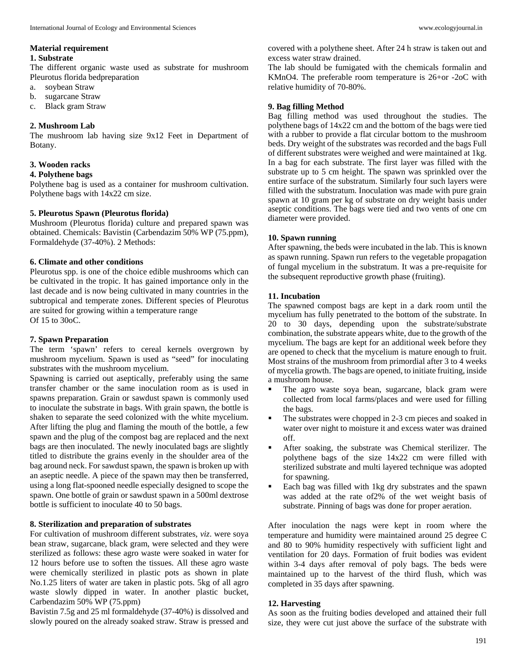#### **Material requirement**

#### **1. Substrate**

The different organic waste used as substrate for mushroom Pleurotus florida bedpreparation

- a. soybean Straw
- b. sugarcane Straw
- c. Black gram Straw

#### **2. Mushroom Lab**

The mushroom lab having size 9x12 Feet in Department of Botany.

#### **3. Wooden racks**

#### **4. Polythene bags**

Polythene bag is used as a container for mushroom cultivation. Polythene bags with 14x22 cm size.

#### **5. Pleurotus Spawn (Pleurotus florida)**

Mushroom (Pleurotus florida) culture and prepared spawn was obtained. Chemicals: Bavistin (Carbendazim 50% WP (75.ppm), Formaldehyde (37-40%). 2 Methods:

#### **6. Climate and other conditions**

Pleurotus spp. is one of the choice edible mushrooms which can be cultivated in the tropic. It has gained importance only in the last decade and is now being cultivated in many countries in the subtropical and temperate zones. Different species of Pleurotus are suited for growing within a temperature range Of 15 to 30oC.

#### **7. Spawn Preparation**

The term 'spawn' refers to cereal kernels overgrown by mushroom mycelium. Spawn is used as "seed" for inoculating substrates with the mushroom mycelium.

Spawning is carried out aseptically, preferably using the same transfer chamber or the same inoculation room as is used in spawns preparation. Grain or sawdust spawn is commonly used to inoculate the substrate in bags. With grain spawn, the bottle is shaken to separate the seed colonized with the white mycelium. After lifting the plug and flaming the mouth of the bottle, a few spawn and the plug of the compost bag are replaced and the next bags are then inoculated. The newly inoculated bags are slightly titled to distribute the grains evenly in the shoulder area of the bag around neck. For sawdust spawn, the spawn is broken up with an aseptic needle. A piece of the spawn may then be transferred, using a long flat-spooned needle especially designed to scope the spawn. One bottle of grain or sawdust spawn in a 500ml dextrose bottle is sufficient to inoculate 40 to 50 bags.

## **8. Sterilization and preparation of substrates**

For cultivation of mushroom different substrates, *viz*. were soya bean straw, sugarcane, black gram, were selected and they were sterilized as follows: these agro waste were soaked in water for 12 hours before use to soften the tissues. All these agro waste were chemically sterilized in plastic pots as shown in plate No.1.25 liters of water are taken in plastic pots. 5kg of all agro waste slowly dipped in water. In another plastic bucket, Carbendazim 50% WP (75.ppm)

Bavistin 7.5g and 25 ml formaldehyde (37-40%) is dissolved and slowly poured on the already soaked straw. Straw is pressed and covered with a polythene sheet. After 24 h straw is taken out and excess water straw drained.

The lab should be fumigated with the chemicals formalin and KMnO4. The preferable room temperature is 26+or -2oC with relative humidity of 70-80%.

#### **9. Bag filling Method**

Bag filling method was used throughout the studies. The polythene bags of 14x22 cm and the bottom of the bags were tied with a rubber to provide a flat circular bottom to the mushroom beds. Dry weight of the substrates was recorded and the bags Full of different substrates were weighed and were maintained at 1kg. In a bag for each substrate. The first layer was filled with the substrate up to 5 cm height. The spawn was sprinkled over the entire surface of the substratum. Similarly four such layers were filled with the substratum. Inoculation was made with pure grain spawn at 10 gram per kg of substrate on dry weight basis under aseptic conditions. The bags were tied and two vents of one cm diameter were provided.

#### **10. Spawn running**

After spawning, the beds were incubated in the lab. This is known as spawn running. Spawn run refers to the vegetable propagation of fungal mycelium in the substratum. It was a pre-requisite for the subsequent reproductive growth phase (fruiting).

### **11. Incubation**

The spawned compost bags are kept in a dark room until the mycelium has fully penetrated to the bottom of the substrate. In 20 to 30 days, depending upon the substrate/substrate combination, the substrate appears white, due to the growth of the mycelium. The bags are kept for an additional week before they are opened to check that the mycelium is mature enough to fruit. Most strains of the mushroom from primordial after 3 to 4 weeks of mycelia growth. The bags are opened, to initiate fruiting, inside a mushroom house.

- The agro waste soya bean, sugarcane, black gram were collected from local farms/places and were used for filling the bags.
- The substrates were chopped in 2-3 cm pieces and soaked in water over night to moisture it and excess water was drained off.
- After soaking, the substrate was Chemical sterilizer. The polythene bags of the size 14x22 cm were filled with sterilized substrate and multi layered technique was adopted for spawning.
- Each bag was filled with 1kg dry substrates and the spawn was added at the rate of2% of the wet weight basis of substrate. Pinning of bags was done for proper aeration.

After inoculation the nags were kept in room where the temperature and humidity were maintained around 25 degree C and 80 to 90% humidity respectively with sufficient light and ventilation for 20 days. Formation of fruit bodies was evident within 3-4 days after removal of poly bags. The beds were maintained up to the harvest of the third flush, which was completed in 35 days after spawning.

#### **12. Harvesting**

As soon as the fruiting bodies developed and attained their full size, they were cut just above the surface of the substrate with